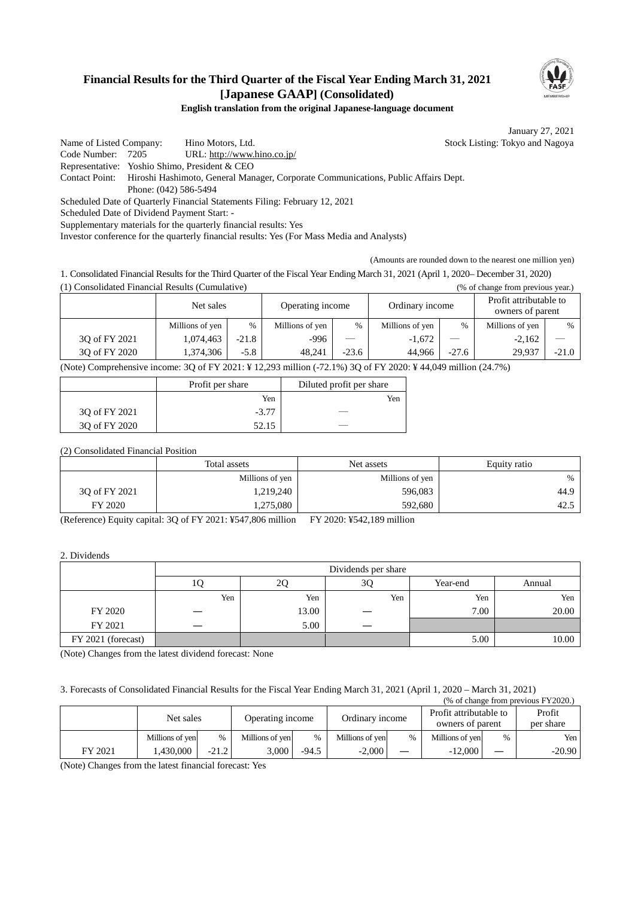## **Financial Results for the Third Quarter of the Fiscal Year Ending March 31, 2021 [Japanese GAAP] (Consolidated)**



### **English translation from the original Japanese-language document**

January 27, 2021

Name of Listed Company: Hino Motors, Ltd. Stock Listing: Tokyo and Nagoya Code Number: 7205 URL: http://www.hino.co.jp/ Representative: Yoshio Shimo, President & CEO Contact Point: Hiroshi Hashimoto, General Manager, Corporate Communications, Public Affairs Dept. Phone: (042) 586-5494 Scheduled Date of Quarterly Financial Statements Filing: February 12, 2021 Scheduled Date of Dividend Payment Start: - Supplementary materials for the quarterly financial results: Yes

Investor conference for the quarterly financial results: Yes (For Mass Media and Analysts)

(Amounts are rounded down to the nearest one million yen)

1. Consolidated Financial Results for the Third Quarter of the Fiscal Year Ending March 31, 2021 (April 1, 2020– December 31, 2020) (1) Consolidated Financial Results (Cumulative) (% of change from previous year.)

|               | Net sales       |         | Operating income |                          |                 |         |                 |         | Ordinary income |  | Profit attributable to<br>owners of parent |  |
|---------------|-----------------|---------|------------------|--------------------------|-----------------|---------|-----------------|---------|-----------------|--|--------------------------------------------|--|
|               | Millions of yen | $\%$    | Millions of yen  | $\%$                     | Millions of yen | %       | Millions of yen | $\%$    |                 |  |                                            |  |
| 30 of FY 2021 | 1,074,463       | $-21.8$ | $-996$           | $\overline{\phantom{0}}$ | $-1,672$        |         | $-2.162$        |         |                 |  |                                            |  |
| 30 of FY 2020 | 1,374,306       | $-5.8$  | 48.241           | $-23.6$                  | 44.966          | $-27.6$ | 29.937          | $-21.0$ |                 |  |                                            |  |

(Note) Comprehensive income: 3Q of FY 2021: ¥ 12,293 million (-72.1%) 3Q of FY 2020: ¥ 44,049 million (24.7%)

|               | Profit per share | Diluted profit per share |
|---------------|------------------|--------------------------|
|               | Yen              | Yen                      |
| 30 of FY 2021 | $-3.77$          |                          |
| 30 of FY 2020 | 52.15            |                          |

(2) Consolidated Financial Position

|               | Total assets    | Net assets      |      |
|---------------|-----------------|-----------------|------|
|               | Millions of yen | Millions of yen | $\%$ |
| 30 of FY 2021 | 1,219,240       | 596,083         | 44.9 |
| FY 2020       | 1,275,080       | 592,680         | 42.5 |

(Reference) Equity capital: 3Q of FY 2021: ¥547,806 million FY 2020: ¥542,189 million

#### 2. Dividends

|                    |     |       | Dividends per share |          |        |
|--------------------|-----|-------|---------------------|----------|--------|
|                    | ΙU  | ∠∪    | 3Q                  | Year-end | Annual |
|                    | Yen | Yen   | Yen                 | Yen      | Yen    |
| FY 2020            |     | 13.00 |                     | 7.00     | 20.00  |
| FY 2021            |     | 5.00  |                     |          |        |
| FY 2021 (forecast) |     |       |                     | 5.00     | 10.00  |

(Note) Changes from the latest dividend forecast: None

### 3. Forecasts of Consolidated Financial Results for the Fiscal Year Ending March 31, 2021 (April 1, 2020 – March 31, 2021)

|         |                 |         |                  |         |                 |      |                                            |      | (% of change from previous FY2020.) |
|---------|-----------------|---------|------------------|---------|-----------------|------|--------------------------------------------|------|-------------------------------------|
|         | Net sales       |         | Operating income |         | Ordinary income |      | Profit attributable to<br>owners of parent |      | Profit<br>per share                 |
|         | Millions of yen | $\%$    | Millions of yen  | %       | Millions of yen | $\%$ | Millions of yen                            | $\%$ | Yen I                               |
| FY 2021 | 1.430.000       | $-21.2$ | 3.000            | $-94.5$ | $-2,000$        |      | $-12.000$                                  |      | $-20.90$                            |

(Note) Changes from the latest financial forecast: Yes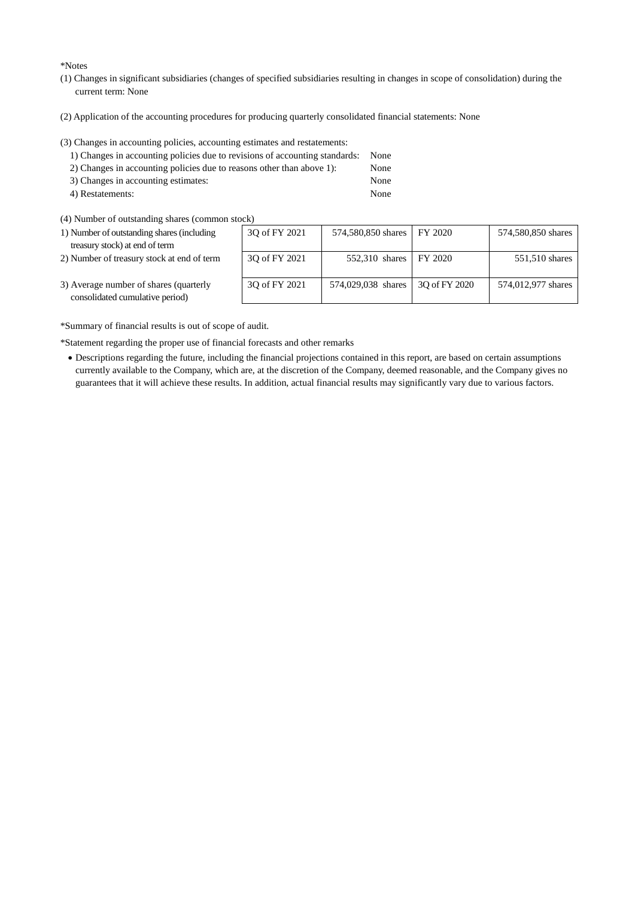\*Notes

- (1) Changes in significant subsidiaries (changes of specified subsidiaries resulting in changes in scope of consolidation) during the current term: None
- (2) Application of the accounting procedures for producing quarterly consolidated financial statements: None
- (3) Changes in accounting policies, accounting estimates and restatements:

| 1) Changes in accounting policies due to revisions of accounting standards: None |      |
|----------------------------------------------------------------------------------|------|
| 2) Changes in accounting policies due to reasons other than above 1):            | None |
| 3) Changes in accounting estimates:                                              | None |

4) Restatements: None

(4) Number of outstanding shares (common stock)

| 1) Number of outstanding shares (including<br>treasury stock) at end of term | 30 of FY 2021 | 574,580,850 shares FY 2020 |               | 574,580,850 shares |
|------------------------------------------------------------------------------|---------------|----------------------------|---------------|--------------------|
| 2) Number of treasury stock at end of term                                   | 30 of FY 2021 | 552,310 shares   FY 2020   |               | 551,510 shares     |
| 3) Average number of shares (quarterly<br>consolidated cumulative period)    | 30 of FY 2021 | 574,029,038 shares         | 30 of FY 2020 | 574,012,977 shares |

3) Average number of consolidated cumulation

\*Summary of financial results is out of scope of audit.

\*Statement regarding the proper use of financial forecasts and other remarks

• Descriptions regarding the future, including the financial projections contained in this report, are based on certain assumptions currently available to the Company, which are, at the discretion of the Company, deemed reasonable, and the Company gives no guarantees that it will achieve these results. In addition, actual financial results may significantly vary due to various factors.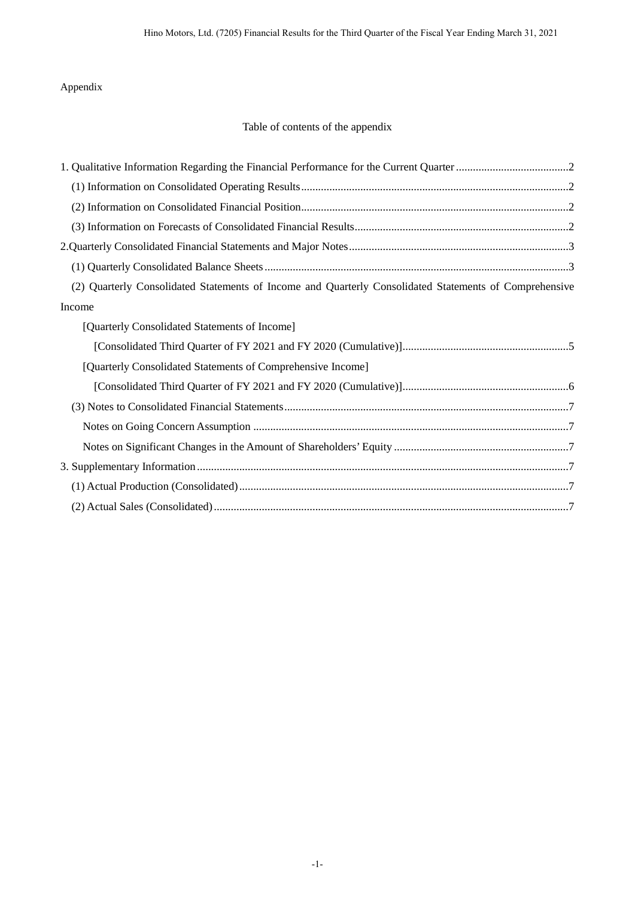## Appendix

# Table of contents of the appendix

| (2) Quarterly Consolidated Statements of Income and Quarterly Consolidated Statements of Comprehensive |
|--------------------------------------------------------------------------------------------------------|
| Income                                                                                                 |
| [Quarterly Consolidated Statements of Income]                                                          |
|                                                                                                        |
| [Quarterly Consolidated Statements of Comprehensive Income]                                            |
|                                                                                                        |
|                                                                                                        |
|                                                                                                        |
|                                                                                                        |
|                                                                                                        |
|                                                                                                        |
|                                                                                                        |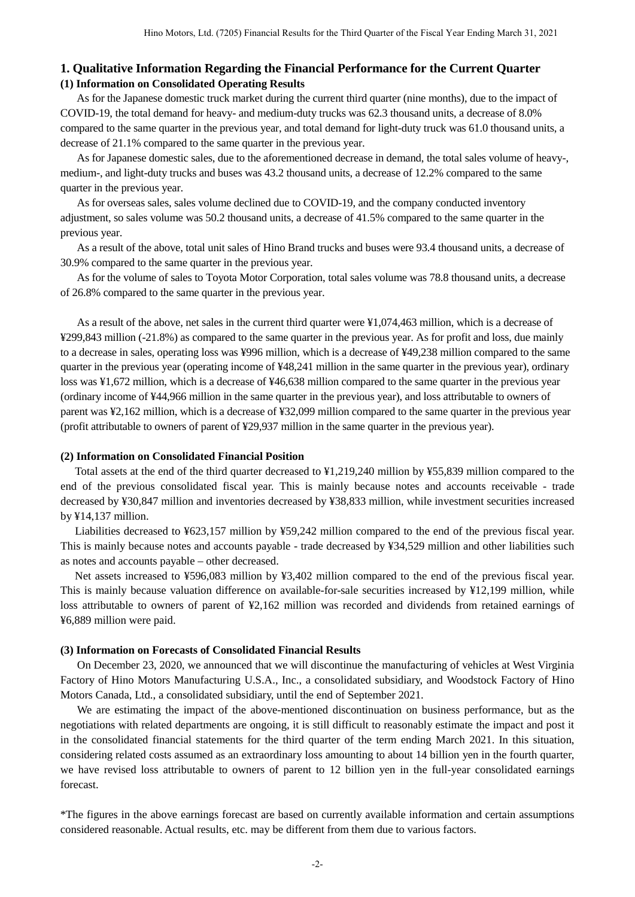### **1. Qualitative Information Regarding the Financial Performance for the Current Quarter (1) Information on Consolidated Operating Results**

As for the Japanese domestic truck market during the current third quarter (nine months), due to the impact of COVID-19, the total demand for heavy- and medium-duty trucks was 62.3 thousand units, a decrease of 8.0% compared to the same quarter in the previous year, and total demand for light-duty truck was 61.0 thousand units, a decrease of 21.1% compared to the same quarter in the previous year.

As for Japanese domestic sales, due to the aforementioned decrease in demand, the total sales volume of heavy-, medium-, and light-duty trucks and buses was 43.2 thousand units, a decrease of 12.2% compared to the same quarter in the previous year.

As for overseas sales, sales volume declined due to COVID-19, and the company conducted inventory adjustment, so sales volume was 50.2 thousand units, a decrease of 41.5% compared to the same quarter in the previous year.

As a result of the above, total unit sales of Hino Brand trucks and buses were 93.4 thousand units, a decrease of 30.9% compared to the same quarter in the previous year.

As for the volume of sales to Toyota Motor Corporation, total sales volume was 78.8 thousand units, a decrease of 26.8% compared to the same quarter in the previous year.

As a result of the above, net sales in the current third quarter were ¥1,074,463 million, which is a decrease of ¥299,843 million (-21.8%) as compared to the same quarter in the previous year. As for profit and loss, due mainly to a decrease in sales, operating loss was ¥996 million, which is a decrease of ¥49,238 million compared to the same quarter in the previous year (operating income of ¥48,241 million in the same quarter in the previous year), ordinary loss was ¥1,672 million, which is a decrease of ¥46,638 million compared to the same quarter in the previous year (ordinary income of ¥44,966 million in the same quarter in the previous year), and loss attributable to owners of parent was ¥2,162 million, which is a decrease of ¥32,099 million compared to the same quarter in the previous year (profit attributable to owners of parent of ¥29,937 million in the same quarter in the previous year).

#### **(2) Information on Consolidated Financial Position**

Total assets at the end of the third quarter decreased to ¥1,219,240 million by ¥55,839 million compared to the end of the previous consolidated fiscal year. This is mainly because notes and accounts receivable - trade decreased by ¥30,847 million and inventories decreased by ¥38,833 million, while investment securities increased by ¥14,137 million.

Liabilities decreased to ¥623,157 million by ¥59,242 million compared to the end of the previous fiscal year. This is mainly because notes and accounts payable - trade decreased by ¥34,529 million and other liabilities such as notes and accounts payable – other decreased.

Net assets increased to ¥596,083 million by ¥3,402 million compared to the end of the previous fiscal year. This is mainly because valuation difference on available-for-sale securities increased by ¥12,199 million, while loss attributable to owners of parent of ¥2,162 million was recorded and dividends from retained earnings of ¥6,889 million were paid.

#### **(3) Information on Forecasts of Consolidated Financial Results**

On December 23, 2020, we announced that we will discontinue the manufacturing of vehicles at West Virginia Factory of Hino Motors Manufacturing U.S.A., Inc., a consolidated subsidiary, and Woodstock Factory of Hino Motors Canada, Ltd., a consolidated subsidiary, until the end of September 2021.

We are estimating the impact of the above-mentioned discontinuation on business performance, but as the negotiations with related departments are ongoing, it is still difficult to reasonably estimate the impact and post it in the consolidated financial statements for the third quarter of the term ending March 2021. In this situation, considering related costs assumed as an extraordinary loss amounting to about 14 billion yen in the fourth quarter, we have revised loss attributable to owners of parent to 12 billion yen in the full-year consolidated earnings forecast.

\*The figures in the above earnings forecast are based on currently available information and certain assumptions considered reasonable. Actual results, etc. may be different from them due to various factors.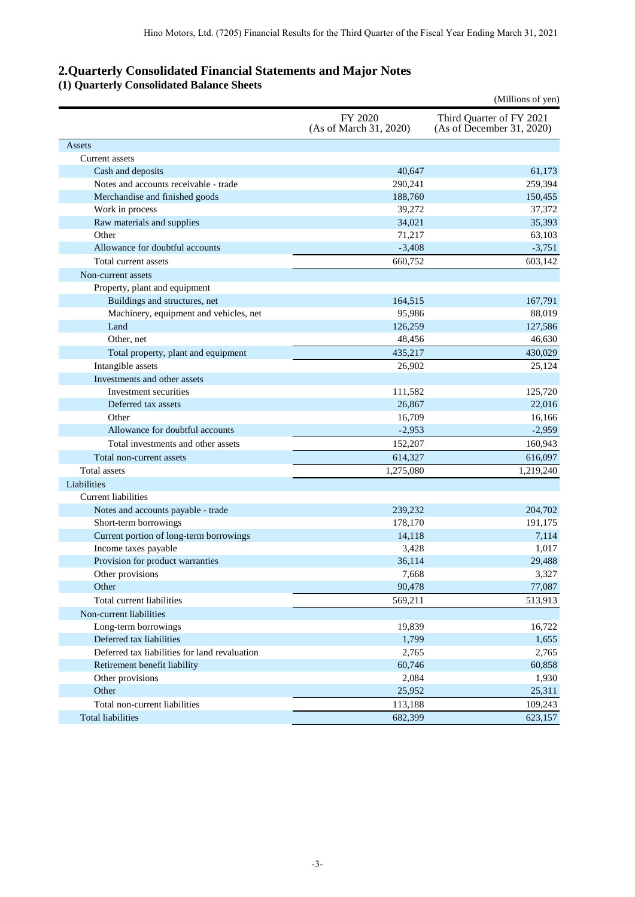## **2.Quarterly Consolidated Financial Statements and Major Notes**

### **(1) Quarterly Consolidated Balance Sheets**

|                                               |                                   | (Millions of yen)                                     |
|-----------------------------------------------|-----------------------------------|-------------------------------------------------------|
|                                               | FY 2020<br>(As of March 31, 2020) | Third Quarter of FY 2021<br>(As of December 31, 2020) |
| Assets                                        |                                   |                                                       |
| Current assets                                |                                   |                                                       |
| Cash and deposits                             | 40,647                            | 61,173                                                |
| Notes and accounts receivable - trade         | 290,241                           | 259,394                                               |
| Merchandise and finished goods                | 188,760                           | 150,455                                               |
| Work in process                               | 39,272                            | 37,372                                                |
| Raw materials and supplies                    | 34,021                            | 35,393                                                |
| Other                                         | 71,217                            | 63,103                                                |
| Allowance for doubtful accounts               | $-3,408$                          | $-3,751$                                              |
| Total current assets                          | 660,752                           | 603,142                                               |
| Non-current assets                            |                                   |                                                       |
| Property, plant and equipment                 |                                   |                                                       |
| Buildings and structures, net                 | 164,515                           | 167,791                                               |
| Machinery, equipment and vehicles, net        | 95,986                            | 88,019                                                |
| Land                                          | 126,259                           | 127,586                                               |
| Other, net                                    | 48,456                            | 46,630                                                |
| Total property, plant and equipment           | 435,217                           | 430,029                                               |
| Intangible assets                             | 26,902                            | 25,124                                                |
| Investments and other assets                  |                                   |                                                       |
| Investment securities                         | 111,582                           | 125,720                                               |
| Deferred tax assets                           | 26,867                            | 22,016                                                |
| Other                                         | 16,709                            | 16,166                                                |
| Allowance for doubtful accounts               | $-2,953$                          | $-2,959$                                              |
| Total investments and other assets            | 152,207                           | 160,943                                               |
| Total non-current assets                      | 614,327                           | 616,097                                               |
| <b>Total assets</b>                           | 1,275,080                         | 1,219,240                                             |
| Liabilities                                   |                                   |                                                       |
| <b>Current liabilities</b>                    |                                   |                                                       |
| Notes and accounts payable - trade            | 239,232                           | 204,702                                               |
| Short-term borrowings                         | 178,170                           | 191,175                                               |
| Current portion of long-term borrowings       | 14,118                            | 7,114                                                 |
| Income taxes payable                          | 3,428                             | 1,017                                                 |
| Provision for product warranties              | 36,114                            | 29,488                                                |
| Other provisions                              | 7,668                             | 3,327                                                 |
| Other                                         | 90,478                            | 77,087                                                |
| Total current liabilities                     | 569,211                           | 513,913                                               |
| Non-current liabilities                       |                                   |                                                       |
| Long-term borrowings                          | 19,839                            | 16,722                                                |
| Deferred tax liabilities                      | 1,799                             | 1,655                                                 |
| Deferred tax liabilities for land revaluation | 2,765                             | 2,765                                                 |
| Retirement benefit liability                  | 60,746                            | 60,858                                                |
| Other provisions                              | 2,084                             | 1,930                                                 |
| Other                                         | 25,952                            | 25,311                                                |
| Total non-current liabilities                 | 113,188                           | 109,243                                               |
| <b>Total liabilities</b>                      | 682,399                           | 623,157                                               |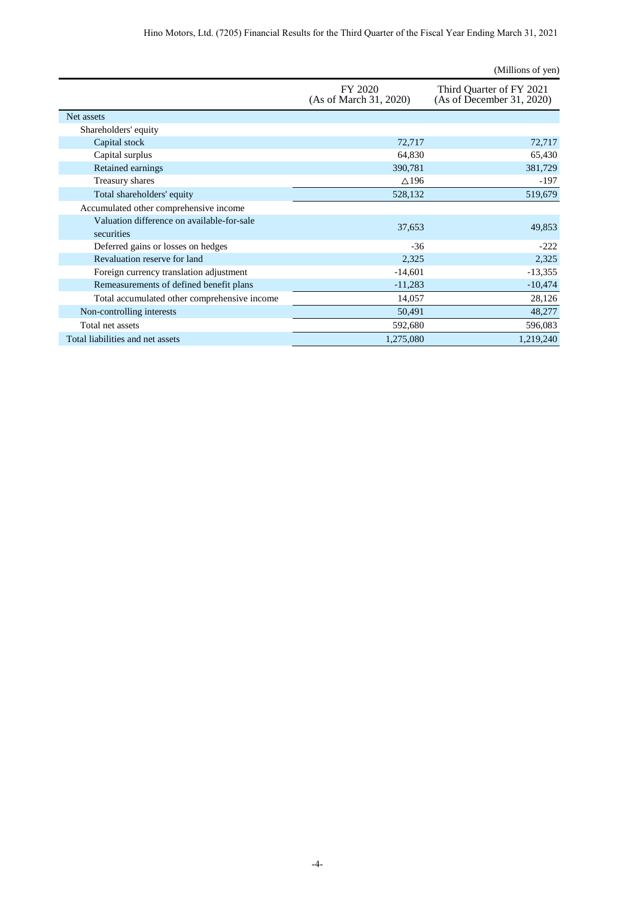|                                                          |                                   | (Millions of yen)                                     |
|----------------------------------------------------------|-----------------------------------|-------------------------------------------------------|
|                                                          | FY 2020<br>(As of March 31, 2020) | Third Quarter of FY 2021<br>(As of December 31, 2020) |
| Net assets                                               |                                   |                                                       |
| Shareholders' equity                                     |                                   |                                                       |
| Capital stock                                            | 72,717                            | 72,717                                                |
| Capital surplus                                          | 64,830                            | 65,430                                                |
| Retained earnings                                        | 390,781                           | 381,729                                               |
| Treasury shares                                          | $\triangle$ 196                   | $-197$                                                |
| Total shareholders' equity                               | 528,132                           | 519,679                                               |
| Accumulated other comprehensive income                   |                                   |                                                       |
| Valuation difference on available-for-sale<br>securities | 37,653                            | 49,853                                                |
| Deferred gains or losses on hedges                       | $-36$                             | $-222$                                                |
| Revaluation reserve for land                             | 2,325                             | 2,325                                                 |
| Foreign currency translation adjustment                  | $-14,601$                         | $-13,355$                                             |
| Remeasurements of defined benefit plans                  | $-11,283$                         | $-10,474$                                             |
| Total accumulated other comprehensive income             | 14,057                            | 28,126                                                |
| Non-controlling interests                                | 50,491                            | 48,277                                                |
| Total net assets                                         | 592,680                           | 596,083                                               |
| Total liabilities and net assets                         | 1,275,080                         | 1,219,240                                             |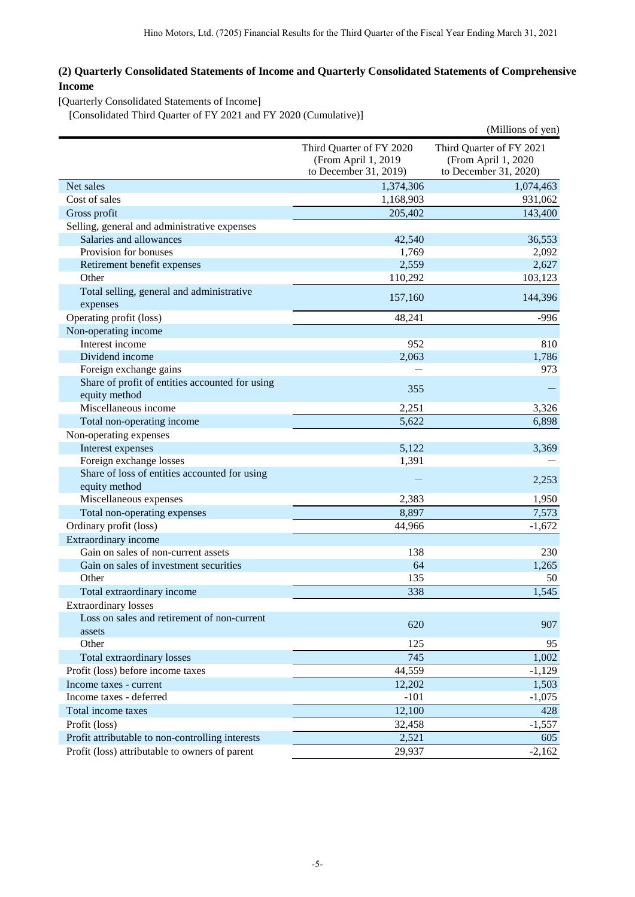## **(2) Quarterly Consolidated Statements of Income and Quarterly Consolidated Statements of Comprehensive Income**

[Quarterly Consolidated Statements of Income]

[Consolidated Third Quarter of FY 2021 and FY 2020 (Cumulative)]

|                                                  |                          | (Millions of yen)        |
|--------------------------------------------------|--------------------------|--------------------------|
|                                                  | Third Quarter of FY 2020 | Third Quarter of FY 2021 |
|                                                  | (From April 1, 2019      | (From April 1, 2020      |
|                                                  | to December 31, 2019)    | to December 31, 2020)    |
| Net sales                                        | 1,374,306                | 1,074,463                |
| Cost of sales                                    | 1,168,903                | 931,062                  |
| Gross profit                                     | 205,402                  | 143,400                  |
| Selling, general and administrative expenses     |                          |                          |
| Salaries and allowances                          | 42,540                   | 36,553                   |
| Provision for bonuses                            | 1,769                    | 2,092                    |
| Retirement benefit expenses                      | 2,559                    | 2,627                    |
| Other                                            | 110,292                  | 103,123                  |
| Total selling, general and administrative        | 157,160                  | 144,396                  |
| expenses                                         |                          |                          |
| Operating profit (loss)                          | 48,241                   | $-996$                   |
| Non-operating income                             |                          |                          |
| Interest income                                  | 952                      | 810                      |
| Dividend income                                  | 2,063                    | 1,786                    |
| Foreign exchange gains                           |                          | 973                      |
| Share of profit of entities accounted for using  | 355                      |                          |
| equity method                                    |                          |                          |
| Miscellaneous income                             | 2,251                    | 3,326                    |
| Total non-operating income                       | 5,622                    | 6,898                    |
| Non-operating expenses                           |                          |                          |
| Interest expenses                                | 5,122                    | 3,369                    |
| Foreign exchange losses                          | 1,391                    |                          |
| Share of loss of entities accounted for using    |                          | 2,253                    |
| equity method                                    |                          |                          |
| Miscellaneous expenses                           | 2,383                    | 1,950                    |
| Total non-operating expenses                     | 8,897                    | 7,573                    |
| Ordinary profit (loss)                           | 44,966                   | $-1,672$                 |
| Extraordinary income                             |                          |                          |
| Gain on sales of non-current assets              | 138                      | 230                      |
| Gain on sales of investment securities           | 64                       | 1,265                    |
| Other                                            | 135                      | 50                       |
| Total extraordinary income                       | 338                      | 1,545                    |
| <b>Extraordinary losses</b>                      |                          |                          |
| Loss on sales and retirement of non-current      | 620                      | 907                      |
| assets                                           |                          |                          |
| Other                                            | 125                      | 95                       |
| Total extraordinary losses                       | 745                      | 1,002                    |
| Profit (loss) before income taxes                | 44,559                   | $-1,129$                 |
| Income taxes - current                           | 12,202                   | 1,503                    |
| Income taxes - deferred                          | $-101$                   | $-1,075$                 |
| Total income taxes                               | 12,100                   | 428                      |
| Profit (loss)                                    | 32,458                   | $-1,557$                 |
| Profit attributable to non-controlling interests | 2,521                    | 605                      |
| Profit (loss) attributable to owners of parent   | 29,937                   | $-2,162$                 |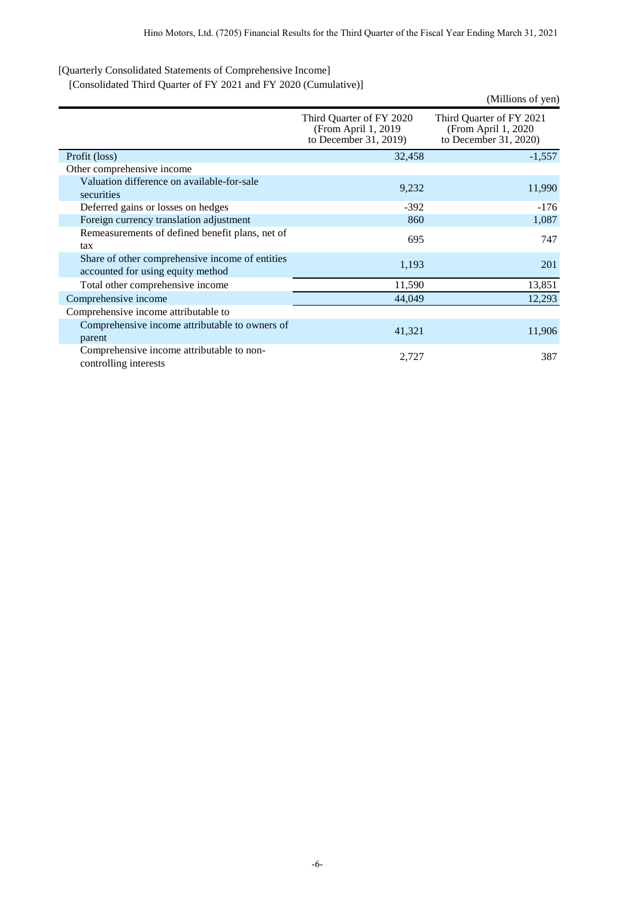[Quarterly Consolidated Statements of Comprehensive Income]

[Consolidated Third Quarter of FY 2021 and FY 2020 (Cumulative)]

|                                                                                      |                                                                           | (Millions of yen)                                                         |
|--------------------------------------------------------------------------------------|---------------------------------------------------------------------------|---------------------------------------------------------------------------|
|                                                                                      | Third Quarter of FY 2020<br>(From April 1, 2019)<br>to December 31, 2019) | Third Quarter of FY 2021<br>(From April 1, 2020)<br>to December 31, 2020) |
| Profit (loss)                                                                        | 32,458                                                                    | $-1,557$                                                                  |
| Other comprehensive income                                                           |                                                                           |                                                                           |
| Valuation difference on available-for-sale<br>securities                             | 9,232                                                                     | 11,990                                                                    |
| Deferred gains or losses on hedges                                                   | $-392$                                                                    | $-176$                                                                    |
| Foreign currency translation adjustment                                              | 860                                                                       | 1,087                                                                     |
| Remeasurements of defined benefit plans, net of<br>tax                               | 695                                                                       | 747                                                                       |
| Share of other comprehensive income of entities<br>accounted for using equity method | 1,193                                                                     | 201                                                                       |
| Total other comprehensive income                                                     | 11,590                                                                    | 13,851                                                                    |
| Comprehensive income                                                                 | 44,049                                                                    | 12,293                                                                    |
| Comprehensive income attributable to                                                 |                                                                           |                                                                           |
| Comprehensive income attributable to owners of<br>parent                             | 41,321                                                                    | 11,906                                                                    |
| Comprehensive income attributable to non-<br>controlling interests                   | 2,727                                                                     | 387                                                                       |